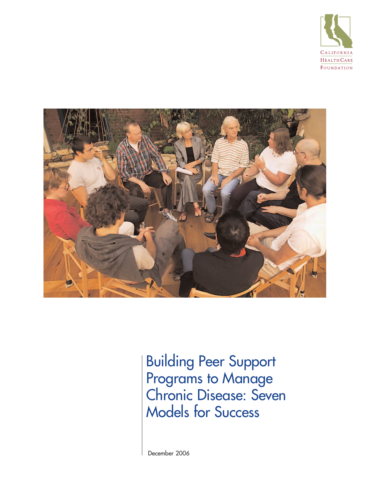



Building Peer Support Programs to Manage Chronic Disease: Seven Models for Success

December 2006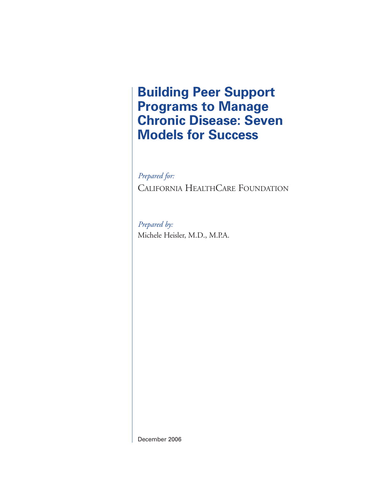**Building Peer Support Programs to Manage Chronic Disease: Seven Models for Success**

*Prepared for:* CALIFORNIA HEALTHCARE FOUNDATION

*Prepared by:* Michele Heisler, M.D., M.P.A.

December 2006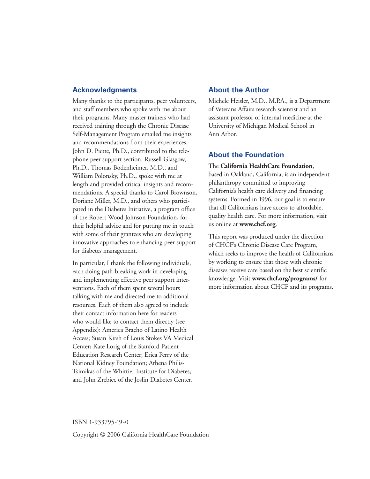### **Acknowledgments**

Many thanks to the participants, peer volunteers, and staff members who spoke with me about their programs. Many master trainers who had received training through the Chronic Disease Self-Management Program emailed me insights and recommendations from their experiences. John D. Piette, Ph.D., contributed to the telephone peer support section. Russell Glasgow, Ph.D., Thomas Bodenheimer, M.D., and William Polonsky, Ph.D., spoke with me at length and provided critical insights and recommendations. A special thanks to Carol Brownson, Doriane Miller, M.D., and others who participated in the Diabetes Initiative, a program office of the Robert Wood Johnson Foundation, for their helpful advice and for putting me in touch with some of their grantees who are developing innovative approaches to enhancing peer support for diabetes management.

In particular, I thank the following individuals, each doing path-breaking work in developing and implementing effective peer support interventions. Each of them spent several hours talking with me and directed me to additional resources. Each of them also agreed to include their contact information here for readers who would like to contact them directly (see Appendix): America Bracho of Latino Health Access; Susan Kirsh of Louis Stokes VA Medical Center; Kate Lorig of the Stanford Patient Education Research Center; Erica Perry of the National Kidney Foundation; Athena Philis-Tsimikas of the Whittier Institute for Diabetes; and John Zrebiec of the Joslin Diabetes Center.

## **About the Author**

Michele Heisler, M.D., M.P.A., is a Department of Veterans Affairs research scientist and an assistant professor of internal medicine at the University of Michigan Medical School in Ann Arbor.

## **About the Foundation**

#### The **California HealthCare Foundation**,

based in Oakland, California, is an independent philanthropy committed to improving California's health care delivery and financing systems. Formed in 1996, our goal is to ensure that all Californians have access to affordable, quality health care. For more information, visit us online at **www.chcf.org**.

This report was produced under the direction of CHCF's Chronic Disease Care Program, which seeks to improve the health of Californians by working to ensure that those with chronic diseases receive care based on the best scientific knowledge. Visit **www.chcf.org/programs/** for more information about CHCF and its programs.

#### ISBN 1-933795-19-0

Copyright © 2006 California HealthCare Foundation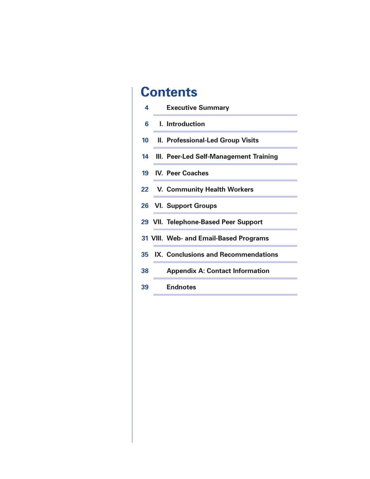# **Contents**

| 4       | <b>Executive Summary</b>                  |
|---------|-------------------------------------------|
| 6       | <b>L.</b> Introduction                    |
| $10-10$ | <b>II. Professional-Led Group Visits</b>  |
|         | 14 III. Peer-Led Self-Management Training |
|         | 19 IV. Peer Coaches                       |
|         | 22 V. Community Health Workers            |
|         | 26 VI. Support Groups                     |
|         | 29 VII. Telephone-Based Peer Support      |
|         | 31 VIII. Web- and Email-Based Programs    |
|         | 35 IX. Conclusions and Recommendations    |
| 38      | <b>Appendix A: Contact Information</b>    |
| 39      | <b>Endnotes</b>                           |
|         |                                           |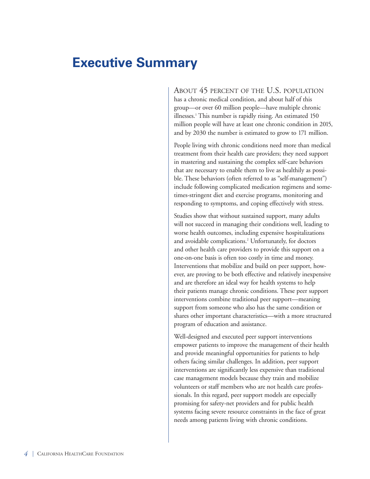## **Executive Summary**

ABOUT 45 PERCENT OF THE U.S. POPULATION has a chronic medical condition, and about half of this group—or over 60 million people—have multiple chronic illnesses.<sup>1</sup> This number is rapidly rising. An estimated 150 million people will have at least one chronic condition in 2015, and by 2030 the number is estimated to grow to 171 million.

People living with chronic conditions need more than medical treatment from their health care providers; they need support in mastering and sustaining the complex self-care behaviors that are necessary to enable them to live as healthily as possible. These behaviors (often referred to as "self-management") include following complicated medication regimens and sometimes-stringent diet and exercise programs, monitoring and responding to symptoms, and coping effectively with stress.

Studies show that without sustained support, many adults will not succeed in managing their conditions well, leading to worse health outcomes, including expensive hospitalizations and avoidable complications.<sup>2</sup> Unfortunately, for doctors and other health care providers to provide this support on a one-on-one basis is often too costly in time and money. Interventions that mobilize and build on peer support, however, are proving to be both effective and relatively inexpensive and are therefore an ideal way for health systems to help their patients manage chronic conditions. These peer support interventions combine traditional peer support—meaning support from someone who also has the same condition or shares other important characteristics—with a more structured program of education and assistance.

Well-designed and executed peer support interventions empower patients to improve the management of their health and provide meaningful opportunities for patients to help others facing similar challenges. In addition, peer support interventions are significantly less expensive than traditional case management models because they train and mobilize volunteers or staff members who are not health care professionals. In this regard, peer support models are especially promising for safety-net providers and for public health systems facing severe resource constraints in the face of great needs among patients living with chronic conditions.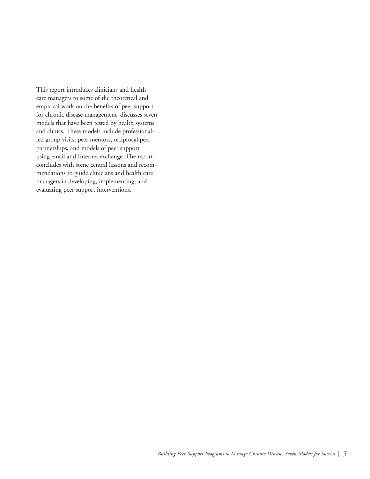This report introduces clinicians and health care managers to some of the theoretical and empirical work on the benefits of peer support for chronic disease management, discusses seven models that have been tested by health systems and clinics. These models include professionalled group visits, peer mentors, reciprocal peer partnerships, and models of peer support using email and Internet exchange. The report concludes with some central lessons and recommendations to guide clinicians and health care managers in developing, implementing, and evaluating peer support interventions.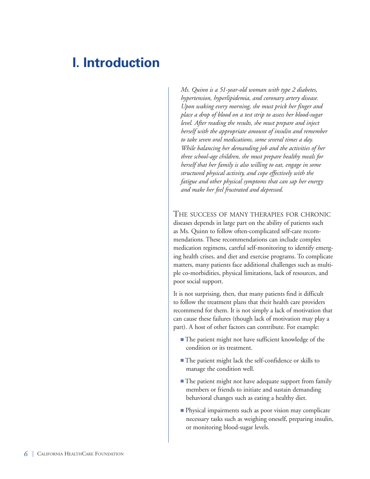# **I. Introduction**

*Ms. Quinn is a 51-year-old woman with type 2 diabetes, hypertension, hyperlipidemia, and coronary artery disease. Upon waking every morning, she must prick her finger and place a drop of blood on a test strip to assess her blood-sugar level. After reading the results, she must prepare and inject herself with the appropriate amount of insulin and remember to take seven oral medications, some several times a day. While balancing her demanding job and the activities of her three school-age children, she must prepare healthy meals for herself that her family is also willing to eat, engage in some structured physical activity, and cope effectively with the fatigue and other physical symptoms that can sap her energy and make her feel frustrated and depressed.*

## THE SUCCESS OF MANY THERAPIES FOR CHRONIC

diseases depends in large part on the ability of patients such as Ms. Quinn to follow often-complicated self-care recommendations. These recommendations can include complex medication regimens, careful self-monitoring to identify emerging health crises, and diet and exercise programs. To complicate matters, many patients face additional challenges such as multiple co-morbidities, physical limitations, lack of resources, and poor social support.

It is not surprising, then, that many patients find it difficult to follow the treatment plans that their health care providers recommend for them. It is not simply a lack of motivation that can cause these failures (though lack of motivation may play a part). A host of other factors can contribute. For example:

- The patient might not have sufficient knowledge of the condition or its treatment.
- The patient might lack the self-confidence or skills to manage the condition well.
- The patient might not have adequate support from family members or friends to initiate and sustain demanding behavioral changes such as eating a healthy diet.
- Physical impairments such as poor vision may complicate necessary tasks such as weighing oneself, preparing insulin, or monitoring blood-sugar levels.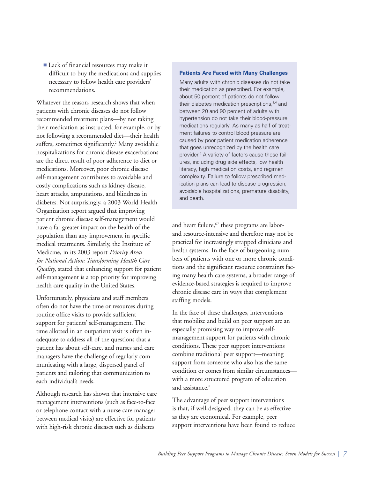■ Lack of financial resources may make it difficult to buy the medications and supplies necessary to follow health care providers' recommendations.

Whatever the reason, research shows that when patients with chronic diseases do not follow recommended treatment plans—by not taking their medication as instructed, for example, or by not following a recommended diet—their health suffers, sometimes significantly.<sup>2</sup> Many avoidable hospitalizations for chronic disease exacerbations are the direct result of poor adherence to diet or medications. Moreover, poor chronic disease self-management contributes to avoidable and costly complications such as kidney disease, heart attacks, amputations, and blindness in diabetes. Not surprisingly, a 2003 World Health Organization report argued that improving patient chronic disease self-management would have a far greater impact on the health of the population than any improvement in specific medical treatments. Similarly, the Institute of Medicine, in its 2003 report *Priority Areas for National Action: Transforming Health Care Quality*, stated that enhancing support for patient self-management is a top priority for improving health care quality in the United States.

Unfortunately, physicians and staff members often do not have the time or resources during routine office visits to provide sufficient support for patients' self-management. The time allotted in an outpatient visit is often inadequate to address all of the questions that a patient has about self-care, and nurses and care managers have the challenge of regularly communicating with a large, dispersed panel of patients and tailoring that communication to each individual's needs.

Although research has shown that intensive care management interventions (such as face-to-face or telephone contact with a nurse care manager between medical visits) are effective for patients with high-risk chronic diseases such as diabetes

#### **Patients Are Faced with Many Challenges**

Many adults with chronic diseases do not take their medication as prescribed. For example, about 50 percent of patients do not follow their diabetes medication prescriptions,<sup>3,4</sup> and between 20 and 90 percent of adults with hypertension do not take their blood-pressure medications regularly. As many as half of treatment failures to control blood pressure are caused by poor patient medication adherence that goes unrecognized by the health care provider.<sup>5</sup> A variety of factors cause these failures, including drug side effects, low health literacy, high medication costs, and regimen complexity. Failure to follow prescribed medication plans can lead to disease progression, avoidable hospitalizations, premature disability, and death.

and heart failure,<sup>6,7</sup> these programs are laborand resource-intensive and therefore may not be practical for increasingly strapped clinicians and health systems. In the face of burgeoning numbers of patients with one or more chronic conditions and the significant resource constraints facing many health care systems, a broader range of evidence-based strategies is required to improve chronic disease care in ways that complement staffing models.

In the face of these challenges, interventions that mobilize and build on peer support are an especially promising way to improve selfmanagement support for patients with chronic conditions. These peer support interventions combine traditional peer support—meaning support from someone who also has the same condition or comes from similar circumstances with a more structured program of education and assistance.<sup>8</sup>

The advantage of peer support interventions is that, if well-designed, they can be as effective as they are economical. For example, peer support interventions have been found to reduce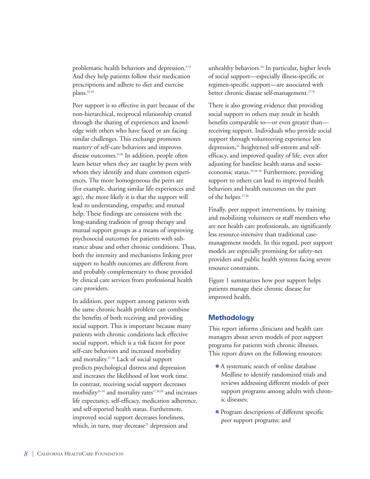problematic health behaviors and depression.<sup>9-11</sup> And they help patients follow their medication prescriptions and adhere to diet and exercise plans.<sup>12-14</sup>

Peer support is so effective in part because of the non-hierarchical, reciprocal relationship created through the sharing of experiences and knowledge with others who have faced or are facing similar challenges. This exchange promotes mastery of self-care behaviors and improves disease outcomes.<sup>15,16</sup> In addition, people often learn better when they are taught by peers with whom they identify and share common experiences. The more homogeneous the peers are (for example, sharing similar life experiences and age), the more likely it is that the support will lead to understanding, empathy, and mutual help. These findings are consistent with the long-standing tradition of group therapy and mutual support groups as a means of improving psychosocial outcomes for patients with substance abuse and other chronic conditions. Thus, both the intensity and mechanisms linking peer support to health outcomes are different from and probably complementary to those provided by clinical care services from professional health care providers.

In addition, peer support among patients with the same chronic health problem can combine the benefits of both receiving and providing social support. This is important because many patients with chronic conditions lack effective social support, which is a risk factor for poor self-care behaviors and increased morbidity and mortality.17-20 Lack of social support predicts psychological distress and depression and increases the likelihood of lost work time. In contrast, receiving social support decreases morbidity<sup>21-24</sup> and mortality rates<sup>17,18,20</sup> and increases life expectancy, self-efficacy, medication adherence, and self-reported health status. Furthermore, improved social support decreases loneliness, which, in turn, may decrease<sup>25</sup> depression and

unhealthy behaviors.<sup>26</sup> In particular, higher levels of social support—especially illness-specific or regimen-specific support—are associated with better chronic disease self-management.<sup>27-31</sup>

There is also growing evidence that providing social support to others may result in health benefits comparable to—or even greater than receiving support. Individuals who provide social support through volunteering experience less depression,<sup>32</sup> heightened self-esteem and selfefficacy, and improved quality of life, even after adjusting for baseline health status and socioeconomic status.<sup>33,34-36</sup> Furthermore, providing support to others can lead to improved health behaviors and health outcomes on the part of the helper.<sup>37,38</sup>

Finally, peer support interventions, by training and mobilizing volunteers or staff members who are not health care professionals, are significantly less resource-intensive than traditional casemanagement models. In this regard, peer support models are especially promising for safety-net providers and public health systems facing severe resource constraints.

Figure 1 summarizes how peer support helps patients manage their chronic disease for improved health.

## **Methodology**

This report informs clinicians and health care managers about seven models of peer support programs for patients with chronic illnesses. This report draws on the following resources:

- A systematic search of online database Medline to identify randomized trials and reviews addressing different models of peer support programs among adults with chronic diseases;
- Program descriptions of different specific peer support programs; and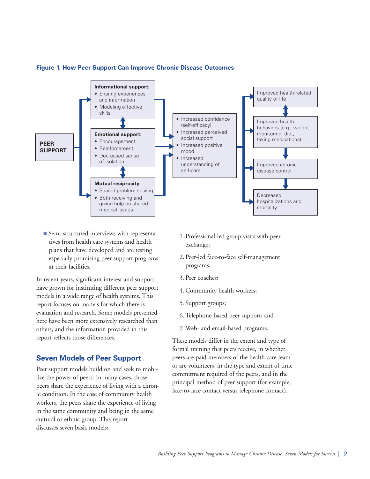

#### **Figure 1. How Peer Support Can Improve Chronic Disease Outcomes**

■ Semi-structured interviews with representatives from health care systems and health plans that have developed and are testing especially promising peer support programs at their facilities.

In recent years, significant interest and support have grown for instituting different peer support models in a wide range of health systems. This report focuses on models for which there is evaluation and research. Some models presented here have been more extensively researched than others, and the information provided in this report reflects those differences.

## **Seven Models of Peer Support**

Peer support models build on and seek to mobilize the power of peers. In many cases, those peers share the experience of living with a chronic condition. In the case of community health workers, the peers share the experience of living in the same community and being in the same cultural or ethnic group. This report discusses seven basic models:

- 1. Professional-led group visits with peer exchange;
- 2. Peer-led face-to-face self-management programs;
- 3. Peer coaches;
- 4. Community health workers;
- 5. Support groups;
- 6.Telephone-based peer support; and
- 7. Web- and email-based programs.

These models differ in the extent and type of formal training that peers receive, in whether peers are paid members of the health care team or are volunteers, in the type and extent of time commitment required of the peers, and in the principal method of peer support (for example, face-to-face contact versus telephone contact).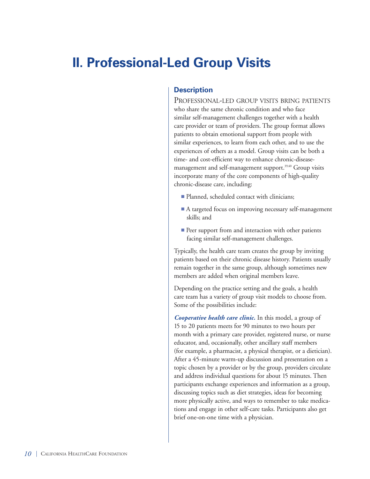# **II. Professional-Led Group Visits**

## **Description**

PROFESSIONAL-LED GROUP VISITS BRING PATIENTS who share the same chronic condition and who face similar self-management challenges together with a health care provider or team of providers. The group format allows patients to obtain emotional support from people with similar experiences, to learn from each other, and to use the experiences of others as a model. Group visits can be both a time- and cost-efficient way to enhance chronic-diseasemanagement and self-management support.<sup>39,40</sup> Group visits incorporate many of the core components of high-quality chronic-disease care, including:

- Planned, scheduled contact with clinicians;
- A targeted focus on improving necessary self-management skills; and
- Peer support from and interaction with other patients facing similar self-management challenges.

Typically, the health care team creates the group by inviting patients based on their chronic disease history. Patients usually remain together in the same group, although sometimes new members are added when original members leave.

Depending on the practice setting and the goals, a health care team has a variety of group visit models to choose from. Some of the possibilities include:

*Cooperative health care clinic.* In this model, a group of 15 to 20 patients meets for 90 minutes to two hours per month with a primary care provider, registered nurse, or nurse educator, and, occasionally, other ancillary staff members (for example, a pharmacist, a physical therapist, or a dietician). After a 45-minute warm-up discussion and presentation on a topic chosen by a provider or by the group, providers circulate and address individual questions for about 15 minutes. Then participants exchange experiences and information as a group, discussing topics such as diet strategies, ideas for becoming more physically active, and ways to remember to take medications and engage in other self-care tasks. Participants also get brief one-on-one time with a physician.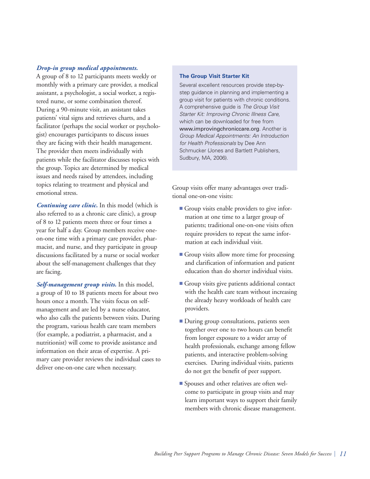#### *Drop-in group medical appointments.*

A group of 8 to 12 participants meets weekly or monthly with a primary care provider, a medical assistant, a psychologist, a social worker, a registered nurse, or some combination thereof. During a 90-minute visit, an assistant takes patients' vital signs and retrieves charts, and a facilitator (perhaps the social worker or psychologist) encourages participants to discuss issues they are facing with their health management. The provider then meets individually with patients while the facilitator discusses topics with the group. Topics are determined by medical issues and needs raised by attendees, including topics relating to treatment and physical and emotional stress.

*Continuing care clinic.* In this model (which is also referred to as a chronic care clinic), a group of 8 to 12 patients meets three or four times a year for half a day. Group members receive oneon-one time with a primary care provider, pharmacist, and nurse, and they participate in group discussions facilitated by a nurse or social worker about the self-management challenges that they are facing.

*Self-management group visits.* In this model, a group of 10 to 18 patients meets for about two hours once a month. The visits focus on selfmanagement and are led by a nurse educator, who also calls the patients between visits. During the program, various health care team members (for example, a podiatrist, a pharmacist, and a nutritionist) will come to provide assistance and information on their areas of expertise. A primary care provider reviews the individual cases to deliver one-on-one care when necessary.

#### **The Group Visit Starter Kit**

Several excellent resources provide step-bystep guidance in planning and implementing a group visit for patients with chronic conditions. A comprehensive guide is *The Group Visit Starter Kit: Improving Chronic Illness Care,* which can be downloaded for free from www.improvingchroniccare.org. Another is *Group Medical Appointments: An Introduction for Health Professionals* by Dee Ann Schmucker (Jones and Bartlett Publishers, Sudbury, MA, 2006).

Group visits offer many advantages over traditional one-on-one visits:

- **■** Group visits enable providers to give information at one time to a larger group of patients; traditional one-on-one visits often require providers to repeat the same information at each individual visit.
- Group visits allow more time for processing and clarification of information and patient education than do shorter individual visits.
- Group visits give patients additional contact with the health care team without increasing the already heavy workloads of health care providers.
- During group consultations, patients seen together over one to two hours can benefit from longer exposure to a wider array of health professionals, exchange among fellow patients, and interactive problem-solving exercises. During individual visits, patients do not get the benefit of peer support.
- Spouses and other relatives are often welcome to participate in group visits and may learn important ways to support their family members with chronic disease management.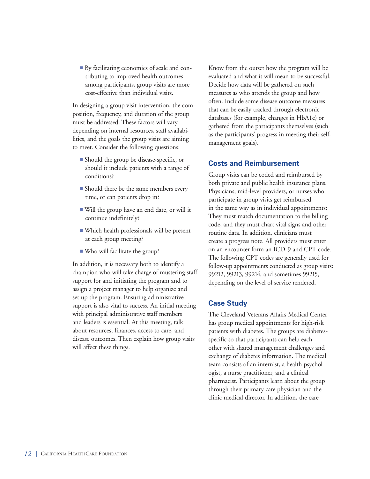■ By facilitating economies of scale and contributing to improved health outcomes among participants, group visits are more cost-effective than individual visits.

In designing a group visit intervention, the composition, frequency, and duration of the group must be addressed. These factors will vary depending on internal resources, staff availabilities, and the goals the group visits are aiming to meet. Consider the following questions:

- Should the group be disease-specific, or should it include patients with a range of conditions?
- Should there be the same members every time, or can patients drop in?
- Will the group have an end date, or will it continue indefinitely?
- **■** Which health professionals will be present at each group meeting?
- Who will facilitate the group?

In addition, it is necessary both to identify a champion who will take charge of mustering staff support for and initiating the program and to assign a project manager to help organize and set up the program. Ensuring administrative support is also vital to success. An initial meeting with principal administrative staff members and leaders is essential. At this meeting, talk about resources, finances, access to care, and disease outcomes. Then explain how group visits will affect these things.

Know from the outset how the program will be evaluated and what it will mean to be successful. Decide how data will be gathered on such measures as who attends the group and how often. Include some disease outcome measures that can be easily tracked through electronic databases (for example, changes in HbA1c) or gathered from the participants themselves (such as the participants' progress in meeting their selfmanagement goals).

## **Costs and Reimbursement**

Group visits can be coded and reimbursed by both private and public health insurance plans. Physicians, mid-level providers, or nurses who participate in group visits get reimbursed in the same way as in individual appointments: They must match documentation to the billing code, and they must chart vital signs and other routine data. In addition, clinicians must create a progress note. All providers must enter on an encounter form an ICD-9 and CPT code. The following CPT codes are generally used for follow-up appointments conducted as group visits: 99212, 99213, 99214, and sometimes 99215, depending on the level of service rendered.

## **Case Study**

The Cleveland Veterans Affairs Medical Center has group medical appointments for high-risk patients with diabetes. The groups are diabetesspecific so that participants can help each other with shared management challenges and exchange of diabetes information. The medical team consists of an internist, a health psychologist, a nurse practitioner, and a clinical pharmacist. Participants learn about the group through their primary care physician and the clinic medical director. In addition, the care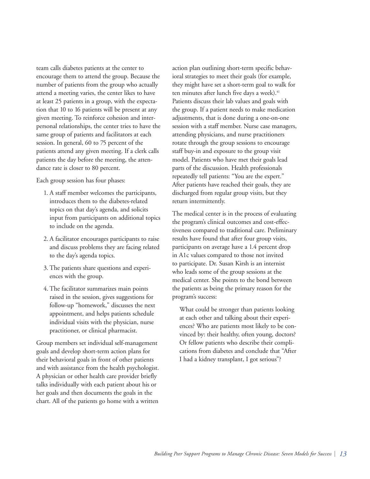team calls diabetes patients at the center to encourage them to attend the group. Because the number of patients from the group who actually attend a meeting varies, the center likes to have at least 25 patients in a group, with the expectation that 10 to 16 patients will be present at any given meeting. To reinforce cohesion and interpersonal relationships, the center tries to have the same group of patients and facilitators at each session. In general, 60 to 75 percent of the patients attend any given meeting. If a clerk calls patients the day before the meeting, the attendance rate is closer to 80 percent.

Each group session has four phases:

- 1. A staff member welcomes the participants, introduces them to the diabetes-related topics on that day's agenda, and solicits input from participants on additional topics to include on the agenda.
- 2. A facilitator encourages participants to raise and discuss problems they are facing related to the day's agenda topics.
- 3. The patients share questions and experiences with the group.
- 4. The facilitator summarizes main points raised in the session, gives suggestions for follow-up "homework," discusses the next appointment, and helps patients schedule individual visits with the physician, nurse practitioner, or clinical pharmacist.

Group members set individual self-management goals and develop short-term action plans for their behavioral goals in front of other patients and with assistance from the health psychologist. A physician or other health care provider briefly talks individually with each patient about his or her goals and then documents the goals in the chart. All of the patients go home with a written

action plan outlining short-term specific behavioral strategies to meet their goals (for example, they might have set a short-term goal to walk for ten minutes after lunch five days a week).<sup>41</sup> Patients discuss their lab values and goals with the group. If a patient needs to make medication adjustments, that is done during a one-on-one session with a staff member. Nurse case managers, attending physicians, and nurse practitioners rotate through the group sessions to encourage staff buy-in and exposure to the group visit model. Patients who have met their goals lead parts of the discussion. Health professionals repeatedly tell patients: "You are the expert." After patients have reached their goals, they are discharged from regular group visits, but they return intermittently.

The medical center is in the process of evaluating the program's clinical outcomes and cost-effectiveness compared to traditional care. Preliminary results have found that after four group visits, participants on average have a 1.4 percent drop in A1c values compared to those not invited to participate. Dr. Susan Kirsh is an internist who leads some of the group sessions at the medical center. She points to the bond between the patients as being the primary reason for the program's success:

What could be stronger than patients looking at each other and talking about their experiences? Who are patients most likely to be convinced by: their healthy, often young, doctors? Or fellow patients who describe their complications from diabetes and conclude that "After I had a kidney transplant, I got serious"?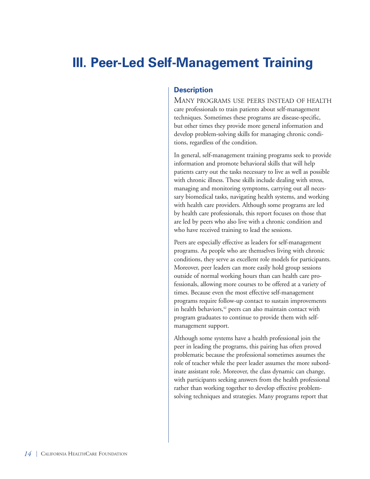# **III. Peer-Led Self-Management Training**

## **Description**

MANY PROGRAMS USE PEERS INSTEAD OF HEALTH care professionals to train patients about self-management techniques. Sometimes these programs are disease-specific, but other times they provide more general information and develop problem-solving skills for managing chronic conditions, regardless of the condition.

In general, self-management training programs seek to provide information and promote behavioral skills that will help patients carry out the tasks necessary to live as well as possible with chronic illness. These skills include dealing with stress, managing and monitoring symptoms, carrying out all necessary biomedical tasks, navigating health systems, and working with health care providers. Although some programs are led by health care professionals, this report focuses on those that are led by peers who also live with a chronic condition and who have received training to lead the sessions.

Peers are especially effective as leaders for self-management programs. As people who are themselves living with chronic conditions, they serve as excellent role models for participants. Moreover, peer leaders can more easily hold group sessions outside of normal working hours than can health care professionals, allowing more courses to be offered at a variety of times. Because even the most effective self-management programs require follow-up contact to sustain improvements in health behaviors,<sup>42</sup> peers can also maintain contact with program graduates to continue to provide them with selfmanagement support.

Although some systems have a health professional join the peer in leading the programs, this pairing has often proved problematic because the professional sometimes assumes the role of teacher while the peer leader assumes the more subordinate assistant role. Moreover, the class dynamic can change, with participants seeking answers from the health professional rather than working together to develop effective problemsolving techniques and strategies. Many programs report that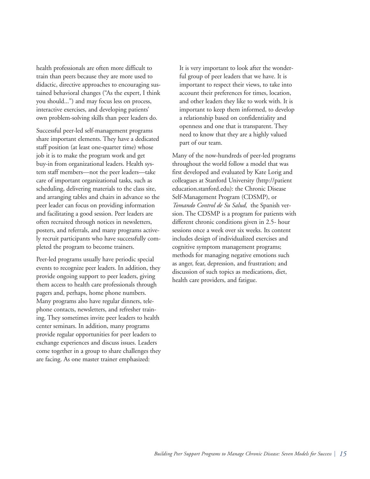health professionals are often more difficult to train than peers because they are more used to didactic, directive approaches to encouraging sustained behavioral changes ("As the expert, I think you should...") and may focus less on process, interactive exercises, and developing patients' own problem-solving skills than peer leaders do.

Successful peer-led self-management programs share important elements. They have a dedicated staff position (at least one-quarter time) whose job it is to make the program work and get buy-in from organizational leaders. Health system staff members—not the peer leaders—take care of important organizational tasks, such as scheduling, delivering materials to the class site, and arranging tables and chairs in advance so the peer leader can focus on providing information and facilitating a good session. Peer leaders are often recruited through notices in newsletters, posters, and referrals, and many programs actively recruit participants who have successfully completed the program to become trainers.

Peer-led programs usually have periodic special events to recognize peer leaders. In addition, they provide ongoing support to peer leaders, giving them access to health care professionals through pagers and, perhaps, home phone numbers. Many programs also have regular dinners, telephone contacts, newsletters, and refresher training. They sometimes invite peer leaders to health center seminars. In addition, many programs provide regular opportunities for peer leaders to exchange experiences and discuss issues. Leaders come together in a group to share challenges they are facing. As one master trainer emphasized:

It is very important to look after the wonderful group of peer leaders that we have. It is important to respect their views, to take into account their preferences for times, location, and other leaders they like to work with. It is important to keep them informed, to develop a relationship based on confidentiality and openness and one that is transparent. They need to know that they are a highly valued part of our team.

Many of the now-hundreds of peer-led programs throughout the world follow a model that was first developed and evaluated by Kate Lorig and colleagues at Stanford University (http://patient education.stanford.edu): the Chronic Disease Self-Management Program (CDSMP), or *Tomando Control de Su Salud,* the Spanish version. The CDSMP is a program for patients with different chronic conditions given in 2.5- hour sessions once a week over six weeks. Its content includes design of individualized exercises and cognitive symptom management programs; methods for managing negative emotions such as anger, fear, depression, and frustration; and discussion of such topics as medications, diet, health care providers, and fatigue.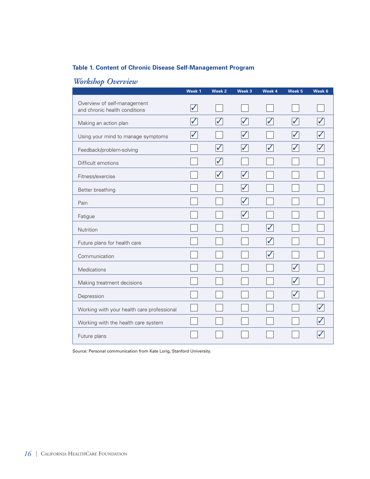## **Table 1. Content of Chronic Disease Self-Management Program**

| -                                                            | Week 1       | Week <sub>2</sub>       | Week 3 | Week 4 | Week <sub>5</sub> | Week 6 |
|--------------------------------------------------------------|--------------|-------------------------|--------|--------|-------------------|--------|
| Overview of self-management<br>and chronic health conditions | ✓            |                         |        |        |                   |        |
| Making an action plan                                        | $\checkmark$ | $\blacktriangledown$    | ✓      |        | $\checkmark$      |        |
| Using your mind to manage symptoms                           |              |                         |        |        |                   |        |
| Feedback/problem-solving                                     |              | $\checkmark$            |        |        |                   |        |
| Difficult emotions                                           |              | $\overline{\checkmark}$ |        |        |                   |        |
| Fitness/exercise                                             |              | $\overline{\checkmark}$ | ✓      |        |                   |        |
| Better breathing                                             |              |                         |        |        |                   |        |
| Pain                                                         |              |                         |        |        |                   |        |
| Fatigue                                                      |              |                         |        |        |                   |        |
| Nutrition                                                    |              |                         |        |        |                   |        |
| Future plans for health care                                 |              |                         |        | J      |                   |        |
| Communication                                                |              |                         |        |        |                   |        |
| Medications                                                  |              |                         |        |        |                   |        |
| Making treatment decisions                                   |              |                         |        |        | $\checkmark$      |        |
| Depression                                                   |              |                         |        |        |                   |        |
| Working with your health care professional                   |              |                         |        |        |                   |        |
| Working with the health care system                          |              |                         |        |        |                   |        |
| Future plans                                                 |              |                         |        |        |                   |        |

## *Workshop Overview*

Source: Personal communication from Kate Lorig, Stanford University.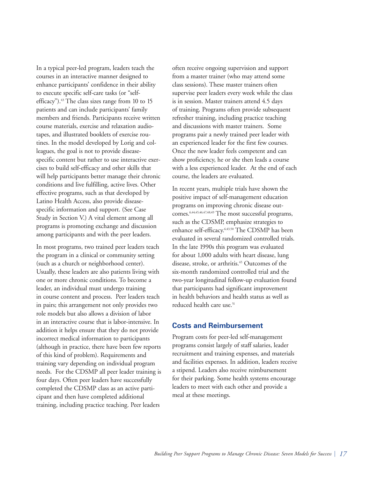In a typical peer-led program, leaders teach the courses in an interactive manner designed to enhance participants' confidence in their ability to execute specific self-care tasks (or "selfefficacy").<sup>43</sup> The class sizes range from 10 to 15 patients and can include participants' family members and friends. Participants receive written course materials, exercise and relaxation audiotapes, and illustrated booklets of exercise routines. In the model developed by Lorig and colleagues, the goal is not to provide diseasespecific content but rather to use interactive exercises to build self-efficacy and other skills that will help participants better manage their chronic conditions and live fulfilling, active lives. Other effective programs, such as that developed by Latino Health Access, also provide diseasespecific information and support. (See Case Study in Section V.) A vital element among all programs is promoting exchange and discussion among participants and with the peer leaders.

In most programs, two trained peer leaders teach the program in a clinical or community setting (such as a church or neighborhood center). Usually, these leaders are also patients living with one or more chronic conditions. To become a leader, an individual must undergo training in course content and process. Peer leaders teach in pairs; this arrangement not only provides two role models but also allows a division of labor in an interactive course that is labor-intensive. In addition it helps ensure that they do not provide incorrect medical information to participants (although in practice, there have been few reports of this kind of problem). Requirements and training vary depending on individual program needs. For the CDSMP all peer leader training is four days. Often peer leaders have successfully completed the CDSMP class as an active participant and then have completed additional training, including practice teaching. Peer leaders

often receive ongoing supervision and support from a master trainer (who may attend some class sessions). These master trainers often supervise peer leaders every week while the class is in session. Master trainers attend 4.5 days of training. Programs often provide subsequent refresher training, including practice teaching and discussions with master trainers. Some programs pair a newly trained peer leader with an experienced leader for the first few courses. Once the new leader feels competent and can show proficiency, he or she then leads a course with a less experienced leader. At the end of each course, the leaders are evaluated.

In recent years, multiple trials have shown the positive impact of self-management education programs on improving chronic disease outcomes.6,44,45,46,47,48,49 The most successful programs, such as the CDSMP, emphasize strategies to enhance self-efficacy.6,43,50 The CDSMP has been evaluated in several randomized controlled trials. In the late 1990s this program was evaluated for about 1,000 adults with heart disease, lung disease, stroke, or arthritis.<sup>45</sup> Outcomes of the six-month randomized controlled trial and the two-year longitudinal follow-up evaluation found that participants had significant improvement in health behaviors and health status as well as reduced health care use.<sup>51</sup>

### **Costs and Reimbursement**

Program costs for peer-led self-management programs consist largely of staff salaries, leader recruitment and training expenses, and materials and facilities expenses. In addition, leaders receive a stipend. Leaders also receive reimbursement for their parking. Some health systems encourage leaders to meet with each other and provide a meal at these meetings.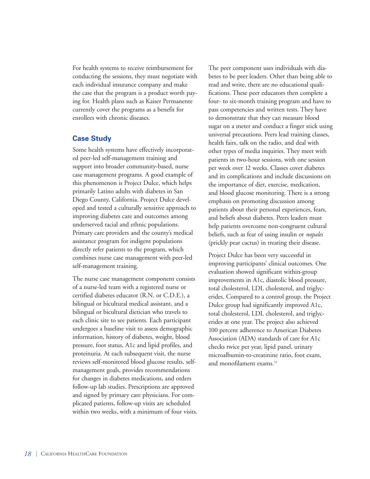For health systems to receive reimbursement for conducting the sessions, they must negotiate with each individual insurance company and make the case that the program is a product worth paying for. Health plans such as Kaiser Permanente currently cover the programs as a benefit for enrollees with chronic diseases.

## **Case Study**

Some health systems have effectively incorporated peer-led self-management training and support into broader community-based, nurse case management programs. A good example of this phenomenon is Project Dulce, which helps primarily Latino adults with diabetes in San Diego County, California. Project Dulce developed and tested a culturally sensitive approach to improving diabetes care and outcomes among underserved racial and ethnic populations. Primary care providers and the county's medical assistance program for indigent populations directly refer patients to the program, which combines nurse case management with peer-led self-management training.

The nurse case management component consists of a nurse-led team with a registered nurse or certified diabetes educator (R.N. or C.D.E.), a bilingual or bicultural medical assistant, and a bilingual or bicultural dietician who travels to each clinic site to see patients. Each participant undergoes a baseline visit to assess demographic information, history of diabetes, weight, blood pressure, foot status, A1c and lipid profiles, and proteinuria. At each subsequent visit, the nurse reviews self-monitored blood glucose results, selfmanagement goals, provides recommendations for changes in diabetes medications, and orders follow-up lab studies. Prescriptions are approved and signed by primary care physicians. For complicated patients, follow-up visits are scheduled within two weeks, with a minimum of four visits.

The peer component uses individuals with diabetes to be peer leaders. Other than being able to read and write, there are no educational qualifications. These peer educators then complete a four- to six-month training program and have to pass competencies and written tests. They have to demonstrate that they can measure blood sugar on a meter and conduct a finger stick using universal precautions. Peers lead training classes, health fairs, talk on the radio, and deal with other types of media inquiries. They meet with patients in two-hour sessions, with one session per week over 12 weeks. Classes cover diabetes and its complications and include discussions on the importance of diet, exercise, medication, and blood glucose monitoring. There is a strong emphasis on promoting discussion among patients about their personal experiences, fears, and beliefs about diabetes. Peers leaders must help patients overcome non-congruent cultural beliefs, such as fear of using insulin or *nopales* (prickly pear cactus) in treating their disease.

Project Dulce has been very successful in improving participants' clinical outcomes. One evaluation showed significant within-group improvements in A1c, diastolic blood pressure, total cholesterol, LDL cholesterol, and triglycerides. Compared to a control group, the Project Dulce group had significantly improved A1c, total cholesterol, LDL cholesterol, and triglycerides at one year. The project also achieved 100 percent adherence to American Diabetes Association (ADA) standards of care for A1c checks twice per year, lipid panel, urinary microalbumin-to-creatinine ratio, foot exam, and monofilament exams.<sup>52</sup>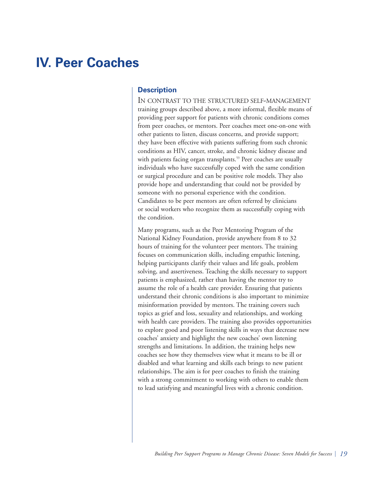## **IV. Peer Coaches**

## **Description**

IN CONTRAST TO THE STRUCTURED SELF-MANAGEMENT training groups described above, a more informal, flexible means of providing peer support for patients with chronic conditions comes from peer coaches, or mentors. Peer coaches meet one-on-one with other patients to listen, discuss concerns, and provide support; they have been effective with patients suffering from such chronic conditions as HIV, cancer, stroke, and chronic kidney disease and with patients facing organ transplants.<sup>53</sup> Peer coaches are usually individuals who have successfully coped with the same condition or surgical procedure and can be positive role models. They also provide hope and understanding that could not be provided by someone with no personal experience with the condition. Candidates to be peer mentors are often referred by clinicians or social workers who recognize them as successfully coping with the condition.

Many programs, such as the Peer Mentoring Program of the National Kidney Foundation, provide anywhere from 8 to 32 hours of training for the volunteer peer mentors. The training focuses on communication skills, including empathic listening, helping participants clarify their values and life goals, problem solving, and assertiveness. Teaching the skills necessary to support patients is emphasized, rather than having the mentor try to assume the role of a health care provider. Ensuring that patients understand their chronic conditions is also important to minimize misinformation provided by mentors. The training covers such topics as grief and loss, sexuality and relationships, and working with health care providers. The training also provides opportunities to explore good and poor listening skills in ways that decrease new coaches' anxiety and highlight the new coaches' own listening strengths and limitations. In addition, the training helps new coaches see how they themselves view what it means to be ill or disabled and what learning and skills each brings to new patient relationships. The aim is for peer coaches to finish the training with a strong commitment to working with others to enable them to lead satisfying and meaningful lives with a chronic condition.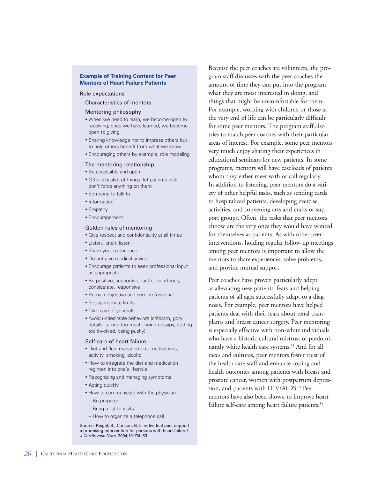#### **Example of Training Content for Peer Mentors of Heart Failure Patients**

#### Role expectations

#### Characteristics of mentors

#### Mentoring philosophy

- When we need to learn, we become open to receiving; once we have learned, we become open to giving
- Sharing knowledge not to impress others but to help others benefit from what we know
- Encouraging others by example, role modeling

#### The mentoring relationship

- Be accessible and open
- Offer a basket of things: let patients pick; don't force anything on them
- Someone to talk to
- Information
- Empathy
- Encouragement

#### Golden rules of mentoring

- Give respect and confidentiality at all times
- Listen, listen, listen
- Share your experience
- Do not give medical advice
- Encourage patients to seek professional input as appropriate
- Be positive, supportive, tactful, courteous, considerate, responsive
- Remain objective and semiprofessional
- Set appropriate limits
- Take care of yourself
- Avoid undesirable behaviors (criticism, gory details, talking too much, being gossipy, getting too involved, being pushy)

#### Self-care of heart failure

- Diet and fluid management, medications, activity, smoking, alcohol
- How to integrate the diet and medication regimen into one's lifestyle
- Recognizing and managing symptoms
- Acting quickly
- How to communicate with the physician
- Be prepared
- Bring a list to visits
- How to organize a telephone call

Source: Riegel, B., Carlson, B. Is individual peer support a promising intervention for persons with heart failure? *J Cardiovasc Nurs.* 2004;19:174-83.

Because the peer coaches are volunteers, the program staff discusses with the peer coaches the amount of time they can put into the program, what they are most interested in doing, and things that might be uncomfortable for them. For example, working with children or those at the very end of life can be particularly difficult for some peer mentors. The program staff also tries to match peer coaches with their particular areas of interest. For example, some peer mentors very much enjoy sharing their experiences in educational seminars for new patients. In some programs, mentors will have caseloads of patients whom they either meet with or call regularly. In addition to listening, peer mentors do a variety of other helpful tasks, such as sending cards to hospitalized patients, developing exercise activities, and convening arts and crafts or support groups. Often, the tasks that peer mentors choose are the very ones they would have wanted for themselves as patients. As with other peer interventions, holding regular follow-up meetings among peer mentors is important to allow the mentors to share experiences, solve problems, and provide mutual support.

Peer coaches have proven particularly adept at alleviating new patients' fears and helping patients of all ages successfully adapt to a diagnosis. For example, peer mentors have helped patients deal with their fears about renal transplants and breast cancer surgery. Peer mentoring is especially effective with non-white individuals who have a historic cultural mistrust of predominantly white health care systems.<sup>53</sup> And for all races and cultures, peer mentors foster trust of the health care staff and enhance coping and health outcomes among patients with breast and prostate cancer, women with postpartum depression, and patients with HIV/AIDS.<sup>53</sup> Peer mentors have also been shown to improve heart failure self-care among heart failure patients.<sup>54</sup>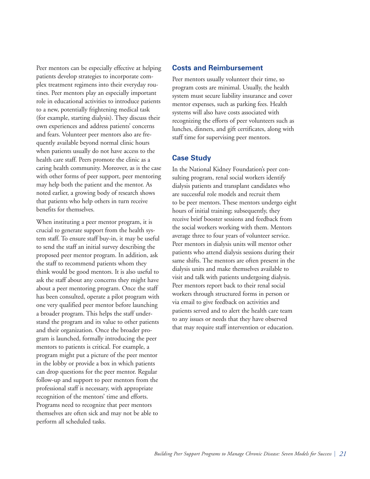Peer mentors can be especially effective at helping patients develop strategies to incorporate complex treatment regimens into their everyday routines. Peer mentors play an especially important role in educational activities to introduce patients to a new, potentially frightening medical task (for example, starting dialysis). They discuss their own experiences and address patients' concerns and fears. Volunteer peer mentors also are frequently available beyond normal clinic hours when patients usually do not have access to the health care staff. Peers promote the clinic as a caring health community. Moreover, as is the case with other forms of peer support, peer mentoring may help both the patient and the mentor. As noted earlier, a growing body of research shows that patients who help others in turn receive benefits for themselves.

When instituting a peer mentor program, it is crucial to generate support from the health system staff. To ensure staff buy-in, it may be useful to send the staff an initial survey describing the proposed peer mentor program. In addition, ask the staff to recommend patients whom they think would be good mentors. It is also useful to ask the staff about any concerns they might have about a peer mentoring program. Once the staff has been consulted, operate a pilot program with one very qualified peer mentor before launching a broader program. This helps the staff understand the program and its value to other patients and their organization. Once the broader program is launched, formally introducing the peer mentors to patients is critical. For example, a program might put a picture of the peer mentor in the lobby or provide a box in which patients can drop questions for the peer mentor. Regular follow-up and support to peer mentors from the professional staff is necessary, with appropriate recognition of the mentors' time and efforts. Programs need to recognize that peer mentors themselves are often sick and may not be able to perform all scheduled tasks.

#### **Costs and Reimbursement**

Peer mentors usually volunteer their time, so program costs are minimal. Usually, the health system must secure liability insurance and cover mentor expenses, such as parking fees. Health systems will also have costs associated with recognizing the efforts of peer volunteers such as lunches, dinners, and gift certificates, along with staff time for supervising peer mentors.

### **Case Study**

In the National Kidney Foundation's peer consulting program, renal social workers identify dialysis patients and transplant candidates who are successful role models and recruit them to be peer mentors. These mentors undergo eight hours of initial training; subsequently, they receive brief booster sessions and feedback from the social workers working with them. Mentors average three to four years of volunteer service. Peer mentors in dialysis units will mentor other patients who attend dialysis sessions during their same shifts. The mentors are often present in the dialysis units and make themselves available to visit and talk with patients undergoing dialysis. Peer mentors report back to their renal social workers through structured forms in person or via email to give feedback on activities and patients served and to alert the health care team to any issues or needs that they have observed that may require staff intervention or education.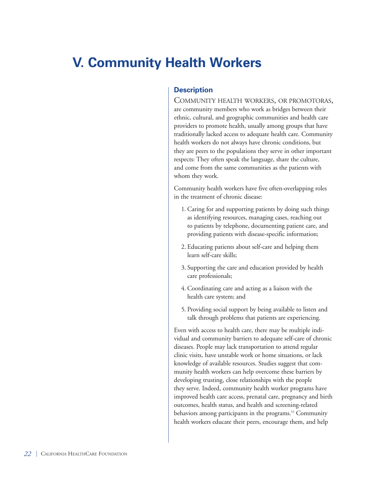# **V. Community Health Workers**

## **Description**

COMMUNITY HEALTH WORKERS, OR PROMOTORAS, are community members who work as bridges between their ethnic, cultural, and geographic communities and health care providers to promote health, usually among groups that have traditionally lacked access to adequate health care. Community health workers do not always have chronic conditions, but they are peers to the populations they serve in other important respects: They often speak the language, share the culture, and come from the same communities as the patients with whom they work.

Community health workers have five often-overlapping roles in the treatment of chronic disease:

- 1. Caring for and supporting patients by doing such things as identifying resources, managing cases, reaching out to patients by telephone, documenting patient care, and providing patients with disease-specific information;
- 2. Educating patients about self-care and helping them learn self-care skills;
- 3. Supporting the care and education provided by health care professionals;
- 4. Coordinating care and acting as a liaison with the health care system; and
- 5. Providing social support by being available to listen and talk through problems that patients are experiencing.

Even with access to health care, there may be multiple individual and community barriers to adequate self-care of chronic diseases. People may lack transportation to attend regular clinic visits, have unstable work or home situations, or lack knowledge of available resources. Studies suggest that community health workers can help overcome these barriers by developing trusting, close relationships with the people they serve. Indeed, community health worker programs have improved health care access, prenatal care, pregnancy and birth outcomes, health status, and health and screening-related behaviors among participants in the programs.<sup>55</sup> Community health workers educate their peers, encourage them, and help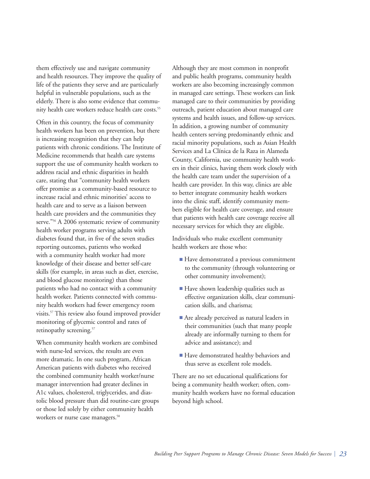them effectively use and navigate community and health resources. They improve the quality of life of the patients they serve and are particularly helpful in vulnerable populations, such as the elderly. There is also some evidence that community health care workers reduce health care costs.<sup>55</sup>

Often in this country, the focus of community health workers has been on prevention, but there is increasing recognition that they can help patients with chronic conditions. The Institute of Medicine recommends that health care systems support the use of community health workers to address racial and ethnic disparities in health care, stating that "community health workers offer promise as a community-based resource to increase racial and ethnic minorities' access to health care and to serve as a liaison between health care providers and the communities they serve."<sup>56</sup> A 2006 systematic review of community health worker programs serving adults with diabetes found that, in five of the seven studies reporting outcomes, patients who worked with a community health worker had more knowledge of their disease and better self-care skills (for example, in areas such as diet, exercise, and blood glucose monitoring) than those patients who had no contact with a community health worker. Patients connected with community health workers had fewer emergency room visits.57 This review also found improved provider monitoring of glycemic control and rates of retinopathy screening.<sup>57</sup>

When community health workers are combined with nurse-led services, the results are even more dramatic. In one such program, African American patients with diabetes who received the combined community health worker/nurse manager intervention had greater declines in A1c values, cholesterol, triglycerides, and diastolic blood pressure than did routine-care groups or those led solely by either community health workers or nurse case managers.<sup>58</sup>

Although they are most common in nonprofit and public health programs, community health workers are also becoming increasingly common in managed care settings. These workers can link managed care to their communities by providing outreach, patient education about managed care systems and health issues, and follow-up services. In addition, a growing number of community health centers serving predominantly ethnic and racial minority populations, such as Asian Health Services and La Clínica de la Raza in Alameda County, California, use community health workers in their clinics, having them work closely with the health care team under the supervision of a health care provider. In this way, clinics are able to better integrate community health workers into the clinic staff, identify community members eligible for health care coverage, and ensure that patients with health care coverage receive all necessary services for which they are eligible.

Individuals who make excellent community health workers are those who:

- Have demonstrated a previous commitment to the community (through volunteering or other community involvement);
- Have shown leadership qualities such as effective organization skills, clear communication skills, and charisma;
- Are already perceived as natural leaders in their communities (such that many people already are informally turning to them for advice and assistance); and
- Have demonstrated healthy behaviors and thus serve as excellent role models.

There are no set educational qualifications for being a community health worker; often, community health workers have no formal education beyond high school.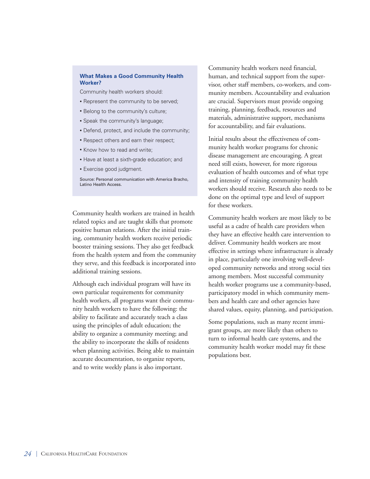#### **What Makes a Good Community Health Worker?**

Community health workers should:

- Represent the community to be served;
- Belong to the community's culture;
- Speak the community's language;
- Defend, protect, and include the community;
- Respect others and earn their respect;
- Know how to read and write;
- Have at least a sixth-grade education; and
- Exercise good judgment.

Source: Personal communication with America Bracho, Latino Health Access.

Community health workers are trained in health related topics and are taught skills that promote positive human relations. After the initial training, community health workers receive periodic booster training sessions. They also get feedback from the health system and from the community they serve, and this feedback is incorporated into additional training sessions.

Although each individual program will have its own particular requirements for community health workers, all programs want their community health workers to have the following: the ability to facilitate and accurately teach a class using the principles of adult education; the ability to organize a community meeting; and the ability to incorporate the skills of residents when planning activities. Being able to maintain accurate documentation, to organize reports, and to write weekly plans is also important.

Community health workers need financial, human, and technical support from the supervisor, other staff members, co-workers, and community members. Accountability and evaluation are crucial. Supervisors must provide ongoing training, planning, feedback, resources and materials, administrative support, mechanisms for accountability, and fair evaluations.

Initial results about the effectiveness of community health worker programs for chronic disease management are encouraging. A great need still exists, however, for more rigorous evaluation of health outcomes and of what type and intensity of training community health workers should receive. Research also needs to be done on the optimal type and level of support for these workers.

Community health workers are most likely to be useful as a cadre of health care providers when they have an effective health care intervention to deliver. Community health workers are most effective in settings where infrastructure is already in place, particularly one involving well-developed community networks and strong social ties among members. Most successful community health worker programs use a community-based, participatory model in which community members and health care and other agencies have shared values, equity, planning, and participation.

Some populations, such as many recent immigrant groups, are more likely than others to turn to informal health care systems, and the community health worker model may fit these populations best.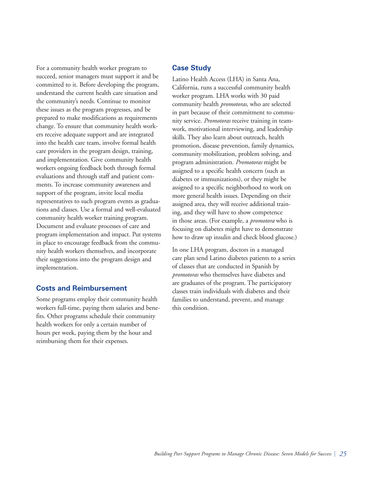For a community health worker program to succeed, senior managers must support it and be committed to it. Before developing the program, understand the current health care situation and the community's needs. Continue to monitor these issues as the program progresses, and be prepared to make modifications as requirements change. To ensure that community health workers receive adequate support and are integrated into the health care team, involve formal health care providers in the program design, training, and implementation. Give community health workers ongoing feedback both through formal evaluations and through staff and patient comments. To increase community awareness and support of the program, invite local media representatives to such program events as graduations and classes. Use a formal and well-evaluated community health worker training program. Document and evaluate processes of care and program implementation and impact. Put systems in place to encourage feedback from the community health workers themselves, and incorporate their suggestions into the program design and implementation.

## **Costs and Reimbursement**

Some programs employ their community health workers full-time, paying them salaries and benefits. Other programs schedule their community health workers for only a certain number of hours per week, paying them by the hour and reimbursing them for their expenses.

## **Case Study**

Latino Health Access (LHA) in Santa Ana, California, runs a successful community health worker program. LHA works with 30 paid community health *promotoras*, who are selected in part because of their commitment to community service. *Promotoras* receive training in teamwork, motivational interviewing, and leadership skills. They also learn about outreach, health promotion, disease prevention, family dynamics, community mobilization, problem solving, and program administration. *Promotoras* might be assigned to a specific health concern (such as diabetes or immunizations), or they might be assigned to a specific neighborhood to work on more general health issues. Depending on their assigned area, they will receive additional training, and they will have to show competence in those areas. (For example, a *promotora* who is focusing on diabetes might have to demonstrate how to draw up insulin and check blood glucose.)

In one LHA program, doctors in a managed care plan send Latino diabetes patients to a series of classes that are conducted in Spanish by *promotoras* who themselves have diabetes and are graduates of the program. The participatory classes train individuals with diabetes and their families to understand, prevent, and manage this condition.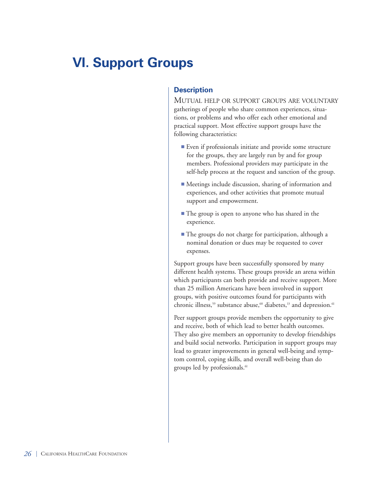# **VI. Support Groups**

## **Description**

MUTUAL HELP OR SUPPORT GROUPS ARE VOLUNTARY gatherings of people who share common experiences, situations, or problems and who offer each other emotional and practical support. Most effective support groups have the following characteristics:

- Even if professionals initiate and provide some structure for the groups, they are largely run by and for group members. Professional providers may participate in the self-help process at the request and sanction of the group.
- Meetings include discussion, sharing of information and experiences, and other activities that promote mutual support and empowerment.
- The group is open to anyone who has shared in the experience.
- The groups do not charge for participation, although a nominal donation or dues may be requested to cover expenses.

Support groups have been successfully sponsored by many different health systems. These groups provide an arena within which participants can both provide and receive support. More than 25 million Americans have been involved in support groups, with positive outcomes found for participants with chronic illness,<sup>59</sup> substance abuse,<sup>60</sup> diabetes,<sup>13</sup> and depression.<sup>61</sup>

Peer support groups provide members the opportunity to give and receive, both of which lead to better health outcomes. They also give members an opportunity to develop friendships and build social networks. Participation in support groups may lead to greater improvements in general well-being and symptom control, coping skills, and overall well-being than do groups led by professionals.<sup>61</sup>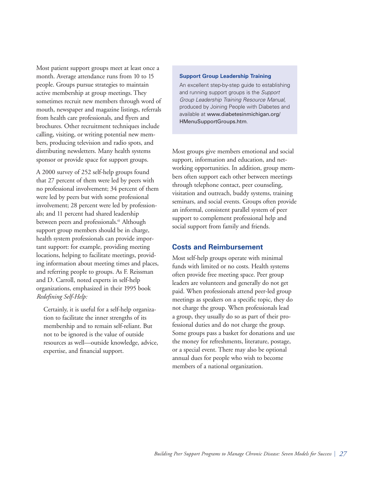Most patient support groups meet at least once a month. Average attendance runs from 10 to 15 people. Groups pursue strategies to maintain active membership at group meetings. They sometimes recruit new members through word of mouth, newspaper and magazine listings, referrals from health care professionals, and flyers and brochures. Other recruitment techniques include calling, visiting, or writing potential new members, producing television and radio spots, and distributing newsletters. Many health systems sponsor or provide space for support groups.

A 2000 survey of 252 self-help groups found that 27 percent of them were led by peers with no professional involvement; 34 percent of them were led by peers but with some professional involvement; 28 percent were led by professionals; and 11 percent had shared leadership between peers and professionals.<sup>61</sup> Although support group members should be in charge, health system professionals can provide important support: for example, providing meeting locations, helping to facilitate meetings, providing information about meeting times and places, and referring people to groups. As F. Reissman and D. Carroll, noted experts in self-help organizations, emphasized in their 1995 book *Redefining Self-Help:* 

Certainly, it is useful for a self-help organization to facilitate the inner strengths of its membership and to remain self-reliant. But not to be ignored is the value of outside resources as well—outside knowledge, advice, expertise, and financial support.

#### **Support Group Leadership Training**

An excellent step-by-step guide to establishing and running support groups is the *Support Group Leadership Training Resource Manual,* produced by Joining People with Diabetes and available at www.diabetesinmichigan.org/ HMenuSupportGroups.htm.

Most groups give members emotional and social support, information and education, and networking opportunities. In addition, group members often support each other between meetings through telephone contact, peer counseling, visitation and outreach, buddy systems, training seminars, and social events. Groups often provide an informal, consistent parallel system of peer support to complement professional help and social support from family and friends.

### **Costs and Reimbursement**

Most self-help groups operate with minimal funds with limited or no costs. Health systems often provide free meeting space. Peer group leaders are volunteers and generally do not get paid. When professionals attend peer-led group meetings as speakers on a specific topic, they do not charge the group. When professionals lead a group, they usually do so as part of their professional duties and do not charge the group. Some groups pass a basket for donations and use the money for refreshments, literature, postage, or a special event. There may also be optional annual dues for people who wish to become members of a national organization.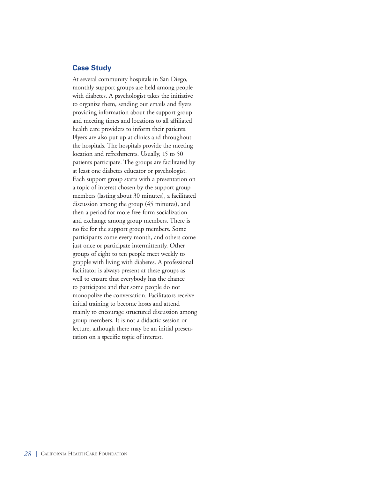### **Case Study**

At several community hospitals in San Diego, monthly support groups are held among people with diabetes. A psychologist takes the initiative to organize them, sending out emails and flyers providing information about the support group and meeting times and locations to all affiliated health care providers to inform their patients. Flyers are also put up at clinics and throughout the hospitals. The hospitals provide the meeting location and refreshments. Usually, 15 to 50 patients participate. The groups are facilitated by at least one diabetes educator or psychologist. Each support group starts with a presentation on a topic of interest chosen by the support group members (lasting about 30 minutes), a facilitated discussion among the group (45 minutes), and then a period for more free-form socialization and exchange among group members. There is no fee for the support group members. Some participants come every month, and others come just once or participate intermittently. Other groups of eight to ten people meet weekly to grapple with living with diabetes. A professional facilitator is always present at these groups as well to ensure that everybody has the chance to participate and that some people do not monopolize the conversation. Facilitators receive initial training to become hosts and attend mainly to encourage structured discussion among group members. It is not a didactic session or lecture, although there may be an initial presentation on a specific topic of interest.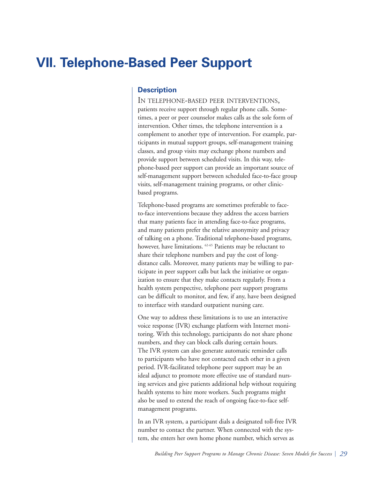# **VII. Telephone-Based Peer Support**

## **Description**

IN TELEPHONE-BASED PEER INTERVENTIONS, patients receive support through regular phone calls. Sometimes, a peer or peer counselor makes calls as the sole form of intervention. Other times, the telephone intervention is a complement to another type of intervention. For example, participants in mutual support groups, self-management training classes, and group visits may exchange phone numbers and provide support between scheduled visits. In this way, telephone-based peer support can provide an important source of self-management support between scheduled face-to-face group visits, self-management training programs, or other clinicbased programs.

Telephone-based programs are sometimes preferable to faceto-face interventions because they address the access barriers that many patients face in attending face-to-face programs, and many patients prefer the relative anonymity and privacy of talking on a phone. Traditional telephone-based programs, however, have limitations. <sup>62-65</sup> Patients may be reluctant to share their telephone numbers and pay the cost of longdistance calls. Moreover, many patients may be willing to participate in peer support calls but lack the initiative or organization to ensure that they make contacts regularly. From a health system perspective, telephone peer support programs can be difficult to monitor, and few, if any, have been designed to interface with standard outpatient nursing care.

One way to address these limitations is to use an interactive voice response (IVR) exchange platform with Internet monitoring. With this technology, participants do not share phone numbers, and they can block calls during certain hours. The IVR system can also generate automatic reminder calls to participants who have not contacted each other in a given period. IVR-facilitated telephone peer support may be an ideal adjunct to promote more effective use of standard nursing services and give patients additional help without requiring health systems to hire more workers. Such programs might also be used to extend the reach of ongoing face-to-face selfmanagement programs.

In an IVR system, a participant dials a designated toll-free IVR number to contact the partner. When connected with the system, she enters her own home phone number, which serves as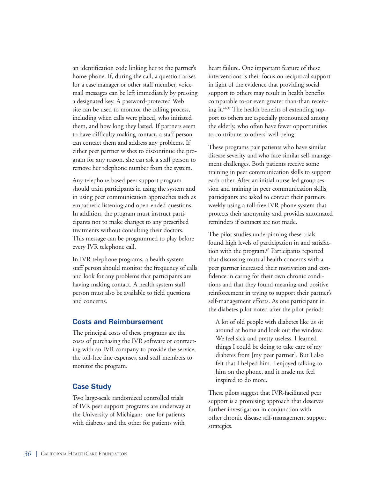an identification code linking her to the partner's home phone. If, during the call, a question arises for a case manager or other staff member, voicemail messages can be left immediately by pressing a designated key. A password-protected Web site can be used to monitor the calling process, including when calls were placed, who initiated them, and how long they lasted. If partners seem to have difficulty making contact, a staff person can contact them and address any problems. If either peer partner wishes to discontinue the program for any reason, she can ask a staff person to remove her telephone number from the system.

Any telephone-based peer support program should train participants in using the system and in using peer communication approaches such as empathetic listening and open-ended questions. In addition, the program must instruct participants not to make changes to any prescribed treatments without consulting their doctors. This message can be programmed to play before every IVR telephone call.

In IVR telephone programs, a health system staff person should monitor the frequency of calls and look for any problems that participants are having making contact. A health system staff person must also be available to field questions and concerns.

## **Costs and Reimbursement**

The principal costs of these programs are the costs of purchasing the IVR software or contracting with an IVR company to provide the service, the toll-free line expenses, and staff members to monitor the program.

## **Case Study**

Two large-scale randomized controlled trials of IVR peer support programs are underway at the University of Michigan: one for patients with diabetes and the other for patients with

heart failure. One important feature of these interventions is their focus on reciprocal support in light of the evidence that providing social support to others may result in health benefits comparable to-or even greater than-than receiving it.<sup>66,37</sup> The health benefits of extending support to others are especially pronounced among the elderly, who often have fewer opportunities to contribute to others' well-being.

These programs pair patients who have similar disease severity and who face similar self-management challenges. Both patients receive some training in peer communication skills to support each other. After an initial nurse-led group session and training in peer communication skills, participants are asked to contact their partners weekly using a toll-free IVR phone system that protects their anonymity and provides automated reminders if contacts are not made.

The pilot studies underpinning these trials found high levels of participation in and satisfaction with the program.<sup>67</sup> Participants reported that discussing mutual health concerns with a peer partner increased their motivation and confidence in caring for their own chronic conditions and that they found meaning and positive reinforcement in trying to support their partner's self-management efforts. As one participant in the diabetes pilot noted after the pilot period:

A lot of old people with diabetes like us sit around at home and look out the window. We feel sick and pretty useless. I learned things I could be doing to take care of my diabetes from [my peer partner]. But I also felt that I helped him. I enjoyed talking to him on the phone, and it made me feel inspired to do more.

These pilots suggest that IVR-facilitated peer support is a promising approach that deserves further investigation in conjunction with other chronic disease self-management support strategies.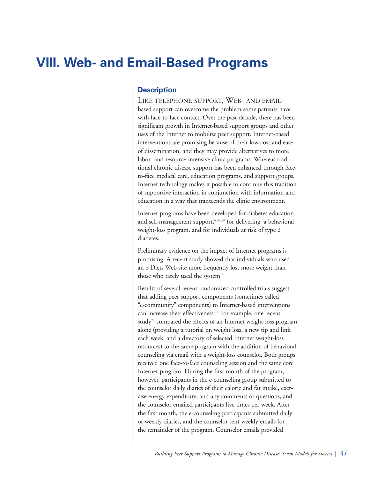## **VIII. Web- and Email-Based Programs**

## **Description**

LIKE TELEPHONE SUPPORT, WEB- AND EMAIL based support can overcome the problem some patients have with face-to-face contact. Over the past decade, there has been significant growth in Internet-based support groups and other uses of the Internet to mobilize peer support. Internet-based interventions are promising because of their low cost and ease of dissemination, and they may provide alternatives to more labor- and resource-intensive clinic programs. Whereas traditional chronic disease support has been enhanced through faceto-face medical care, education programs, and support groups, Internet technology makes it possible to continue this tradition of supportive interaction in conjunction with information and education in a way that transcends the clinic environment.

Internet programs have been developed for diabetes education and self-management support,<sup>68,69,70</sup> for delivering a behavioral weight-loss program, and for individuals at risk of type 2 diabetes.

Preliminary evidence on the impact of Internet programs is promising. A recent study showed that individuals who used an e-Diets Web site more frequently lost more weight than those who rarely used the system.<sup>71</sup>

Results of several recent randomized controlled trials suggest that adding peer support components (sometimes called "e-community" components) to Internet-based interventions can increase their effectiveness.72 For example, one recent study<sup>72</sup> compared the effects of an Internet weight-loss program alone (providing a tutorial on weight loss, a new tip and link each week, and a directory of selected Internet weight-loss resources) to the same program with the addition of behavioral counseling via email with a weight-loss counselor. Both groups received one face-to-face counseling session and the same core Internet program. During the first month of the program, however, participants in the e-counseling group submitted to the counselor daily diaries of their calorie and fat intake, exercise energy expenditure, and any comments or questions, and the counselor emailed participants five times per week. After the first month, the e-counseling participants submitted daily or weekly diaries, and the counselor sent weekly emails for the remainder of the program. Counselor emails provided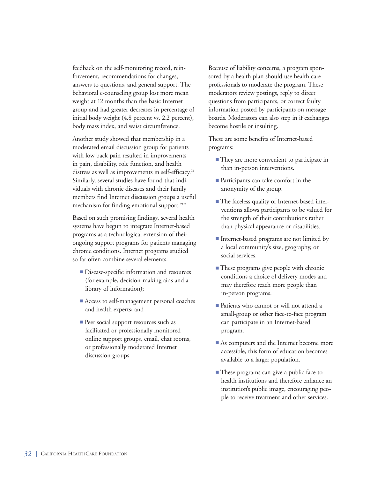feedback on the self-monitoring record, reinforcement, recommendations for changes, answers to questions, and general support. The behavioral e-counseling group lost more mean weight at 12 months than the basic Internet group and had greater decreases in percentage of initial body weight (4.8 percent vs. 2.2 percent), body mass index, and waist circumference.

Another study showed that membership in a moderated email discussion group for patients with low back pain resulted in improvements in pain, disability, role function, and health distress as well as improvements in self-efficacy.<sup>73</sup> Similarly, several studies have found that individuals with chronic diseases and their family members find Internet discussion groups a useful mechanism for finding emotional support.<sup>59,74</sup>

Based on such promising findings, several health systems have begun to integrate Internet-based programs as a technological extension of their ongoing support programs for patients managing chronic conditions. Internet programs studied so far often combine several elements:

- Disease-specific information and resources (for example, decision-making aids and a library of information);
- Access to self-management personal coaches and health experts; and
- Peer social support resources such as facilitated or professionally monitored online support groups, email, chat rooms, or professionally moderated Internet discussion groups.

Because of liability concerns, a program sponsored by a health plan should use health care professionals to moderate the program. These moderators review postings, reply to direct questions from participants, or correct faulty information posted by participants on message boards. Moderators can also step in if exchanges become hostile or insulting.

These are some benefits of Internet-based programs:

- They are more convenient to participate in than in-person interventions.
- Participants can take comfort in the anonymity of the group.
- The faceless quality of Internet-based interventions allows participants to be valued for the strength of their contributions rather than physical appearance or disabilities.
- Internet-based programs are not limited by a local community's size, geography, or social services.
- These programs give people with chronic conditions a choice of delivery modes and may therefore reach more people than in-person programs.
- Patients who cannot or will not attend a small-group or other face-to-face program can participate in an Internet-based program.
- As computers and the Internet become more accessible, this form of education becomes available to a larger population.
- **■** These programs can give a public face to health institutions and therefore enhance an institution's public image, encouraging people to receive treatment and other services.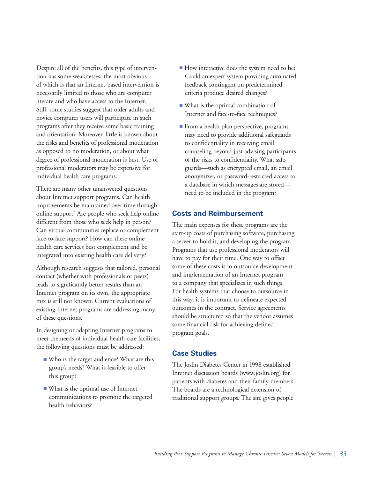Despite all of the benefits, this type of intervention has some weaknesses, the most obvious of which is that an Internet-based intervention is necessarily limited to those who are computer literate and who have access to the Internet. Still, some studies suggest that older adults and novice computer users will participate in such programs after they receive some basic training and orientation. Moreover, little is known about the risks and benefits of professional moderation as opposed to no moderation, or about what degree of professional moderation is best. Use of professional moderators may be expensive for individual health care programs.

There are many other unanswered questions about Internet support programs. Can health improvements be maintained over time through online support? Are people who seek help online different from those who seek help in person? Can virtual communities replace or complement face-to-face support? How can these online health care services best complement and be integrated into existing health care delivery?

Although research suggests that tailored, personal contact (whether with professionals or peers) leads to significantly better results than an Internet program on its own, the appropriate mix is still not known. Current evaluations of existing Internet programs are addressing many of these questions.

In designing or adapting Internet programs to meet the needs of individual health care facilities, the following questions must be addressed:

- **■** Who is the target audience? What are this group's needs? What is feasible to offer this group?
- **■** What is the optimal use of Internet communications to promote the targeted health behaviors?
- How interactive does the system need to be? Could an expert system providing automated feedback contingent on predetermined criteria produce desired changes?
- What is the optimal combination of Internet and face-to-face techniques?
- From a health plan perspective, programs may need to provide additional safeguards to confidentiality in receiving email counseling beyond just advising participants of the risks to confidentiality. What safeguards—such as encrypted email, an email anonymizer, or password-restricted access to a database in which messages are stored need to be included in the program?

## **Costs and Reimbursement**

The main expenses for these programs are the start-up costs of purchasing software, purchasing a server to hold it, and developing the program. Programs that use professional moderators will have to pay for their time. One way to offset some of these costs is to outsource development and implementation of an Internet program to a company that specializes in such things. For health systems that choose to outsource in this way, it is important to delineate expected outcomes in the contract. Service agreements should be structured so that the vendor assumes some financial risk for achieving defined program goals.

## **Case Studies**

The Joslin Diabetes Center in 1998 established Internet discussion boards (www.joslin.org) for patients with diabetes and their family members. The boards are a technological extension of traditional support groups. The site gives people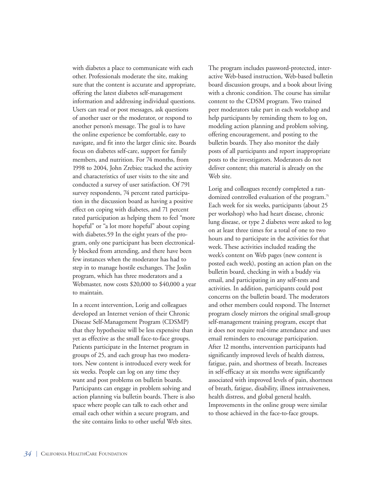with diabetes a place to communicate with each other. Professionals moderate the site, making sure that the content is accurate and appropriate, offering the latest diabetes self-management information and addressing individual questions. Users can read or post messages, ask questions of another user or the moderator, or respond to another person's message. The goal is to have the online experience be comfortable, easy to navigate, and fit into the larger clinic site. Boards focus on diabetes self-care, support for family members, and nutrition. For 74 months, from 1998 to 2004, John Zrebiec tracked the activity and characteristics of user visits to the site and conducted a survey of user satisfaction. Of 791 survey respondents, 74 percent rated participation in the discussion board as having a positive effect on coping with diabetes, and 71 percent rated participation as helping them to feel "more hopeful" or "a lot more hopeful" about coping with diabetes.59 In the eight years of the program, only one participant has been electronically blocked from attending, and there have been few instances when the moderator has had to step in to manage hostile exchanges. The Joslin program, which has three moderators and a Webmaster, now costs \$20,000 to \$40,000 a year to maintain.

In a recent intervention, Lorig and colleagues developed an Internet version of their Chronic Disease Self-Management Program (CDSMP) that they hypothesize will be less expensive than yet as effective as the small face-to-face groups. Patients participate in the Internet program in groups of 25, and each group has two moderators. New content is introduced every week for six weeks. People can log on any time they want and post problems on bulletin boards. Participants can engage in problem solving and action planning via bulletin boards. There is also space where people can talk to each other and email each other within a secure program, and the site contains links to other useful Web sites.

The program includes password-protected, interactive Web-based instruction, Web-based bulletin board discussion groups, and a book about living with a chronic condition. The course has similar content to the CDSM program. Two trained peer moderators take part in each workshop and help participants by reminding them to log on, modeling action planning and problem solving, offering encouragement, and posting to the bulletin boards. They also monitor the daily posts of all participants and report inappropriate posts to the investigators. Moderators do not deliver content; this material is already on the Web site.

Lorig and colleagues recently completed a randomized controlled evaluation of the program.75 Each week for six weeks, participants (about 25 per workshop) who had heart disease, chronic lung disease, or type 2 diabetes were asked to log on at least three times for a total of one to two hours and to participate in the activities for that week. These activities included reading the week's content on Web pages (new content is posted each week), posting an action plan on the bulletin board, checking in with a buddy via email, and participating in any self-tests and activities. In addition, participants could post concerns on the bulletin board. The moderators and other members could respond. The Internet program closely mirrors the original small-group self-management training program, except that it does not require real-time attendance and uses email reminders to encourage participation. After 12 months, intervention participants had significantly improved levels of health distress, fatigue, pain, and shortness of breath. Increases in self-efficacy at six months were significantly associated with improved levels of pain, shortness of breath, fatigue, disability, illness intrusiveness, health distress, and global general health. Improvements in the online group were similar to those achieved in the face-to-face groups.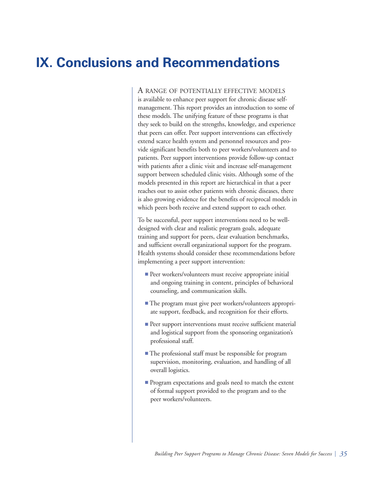## **IX. Conclusions and Recommendations**

A RANGE OF POTENTIALLY EFFECTIVE MODELS is available to enhance peer support for chronic disease selfmanagement. This report provides an introduction to some of these models. The unifying feature of these programs is that they seek to build on the strengths, knowledge, and experience that peers can offer. Peer support interventions can effectively extend scarce health system and personnel resources and provide significant benefits both to peer workers/volunteers and to patients. Peer support interventions provide follow-up contact with patients after a clinic visit and increase self-management support between scheduled clinic visits. Although some of the models presented in this report are hierarchical in that a peer reaches out to assist other patients with chronic diseases, there is also growing evidence for the benefits of reciprocal models in which peers both receive and extend support to each other.

To be successful, peer support interventions need to be welldesigned with clear and realistic program goals, adequate training and support for peers, clear evaluation benchmarks, and sufficient overall organizational support for the program. Health systems should consider these recommendations before implementing a peer support intervention:

- Peer workers/volunteers must receive appropriate initial and ongoing training in content, principles of behavioral counseling, and communication skills.
- The program must give peer workers/volunteers appropriate support, feedback, and recognition for their efforts.
- Peer support interventions must receive sufficient material and logistical support from the sponsoring organization's professional staff.
- The professional staff must be responsible for program supervision, monitoring, evaluation, and handling of all overall logistics.
- Program expectations and goals need to match the extent of formal support provided to the program and to the peer workers/volunteers.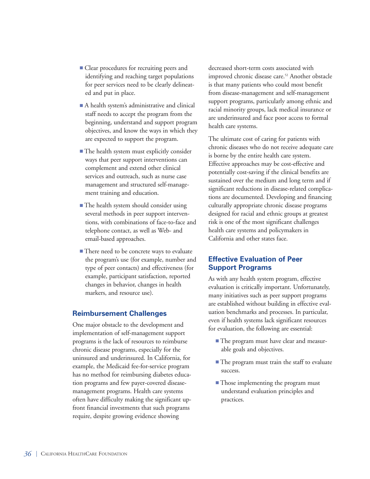- Clear procedures for recruiting peers and identifying and reaching target populations for peer services need to be clearly delineated and put in place.
- A health system's administrative and clinical staff needs to accept the program from the beginning, understand and support program objectives, and know the ways in which they are expected to support the program.
- The health system must explicitly consider ways that peer support interventions can complement and extend other clinical services and outreach, such as nurse case management and structured self-management training and education.
- The health system should consider using several methods in peer support interventions, with combinations of face-to-face and telephone contact, as well as Web- and email-based approaches.
- There need to be concrete ways to evaluate the program's use (for example, number and type of peer contacts) and effectiveness (for example, participant satisfaction, reported changes in behavior, changes in health markers, and resource use).

## **Reimbursement Challenges**

One major obstacle to the development and implementation of self-management support programs is the lack of resources to reimburse chronic disease programs, especially for the uninsured and underinsured. In California, for example, the Medicaid fee-for-service program has no method for reimbursing diabetes education programs and few payer-covered diseasemanagement programs. Health care systems often have difficulty making the significant upfront financial investments that such programs require, despite growing evidence showing

decreased short-term costs associated with improved chronic disease care.<sup>52</sup> Another obstacle is that many patients who could most benefit from disease-management and self-management support programs, particularly among ethnic and racial minority groups, lack medical insurance or are underinsured and face poor access to formal health care systems.

The ultimate cost of caring for patients with chronic diseases who do not receive adequate care is borne by the entire health care system. Effective approaches may be cost-effective and potentially cost-saving if the clinical benefits are sustained over the medium and long term and if significant reductions in disease-related complications are documented. Developing and financing culturally appropriate chronic disease programs designed for racial and ethnic groups at greatest risk is one of the most significant challenges health care systems and policymakers in California and other states face.

## **Effective Evaluation of Peer Support Programs**

As with any health system program, effective evaluation is critically important. Unfortunately, many initiatives such as peer support programs are established without building in effective evaluation benchmarks and processes. In particular, even if health systems lack significant resources for evaluation, the following are essential:

- The program must have clear and measurable goals and objectives.
- The program must train the staff to evaluate success.
- Those implementing the program must understand evaluation principles and practices.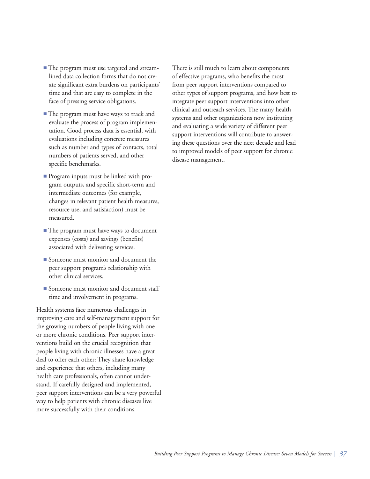- The program must use targeted and streamlined data collection forms that do not create significant extra burdens on participants' time and that are easy to complete in the face of pressing service obligations.
- **■** The program must have ways to track and evaluate the process of program implementation. Good process data is essential, with evaluations including concrete measures such as number and types of contacts, total numbers of patients served, and other specific benchmarks.
- **■** Program inputs must be linked with program outputs, and specific short-term and intermediate outcomes (for example, changes in relevant patient health measures, resource use, and satisfaction) must be measured.
- The program must have ways to document expenses (costs) and savings (benefits) associated with delivering services.
- **■** Someone must monitor and document the peer support program's relationship with other clinical services.
- Someone must monitor and document staff time and involvement in programs.

Health systems face numerous challenges in improving care and self-management support for the growing numbers of people living with one or more chronic conditions. Peer support interventions build on the crucial recognition that people living with chronic illnesses have a great deal to offer each other: They share knowledge and experience that others, including many health care professionals, often cannot understand. If carefully designed and implemented, peer support interventions can be a very powerful way to help patients with chronic diseases live more successfully with their conditions.

There is still much to learn about components of effective programs, who benefits the most from peer support interventions compared to other types of support programs, and how best to integrate peer support interventions into other clinical and outreach services. The many health systems and other organizations now instituting and evaluating a wide variety of different peer support interventions will contribute to answering these questions over the next decade and lead to improved models of peer support for chronic disease management.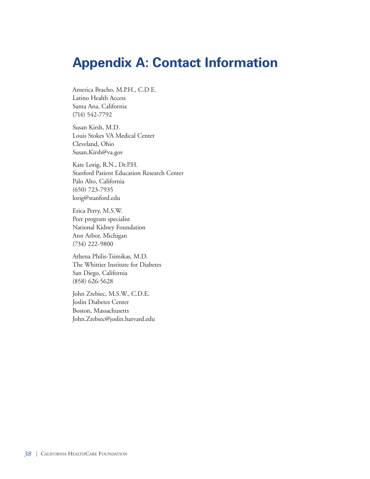# **Appendix A: Contact Information**

America Bracho, M.P.H., C.D.E. Latino Health Access Santa Ana, California (714) 542-7792

Susan Kirsh, M.D. Louis Stokes VA Medical Center Cleveland, Ohio Susan.Kirsh@va.gov

Kate Lorig, R.N., Dr.P.H. Stanford Patient Education Research Center Palo Alto, California (650) 723-7935 lorig@stanford.edu

Erica Perry, M.S.W. Peer program specialist National Kidney Foundation Ann Arbor, Michigan (734) 222-9800

Athena Philis-Tsimikas, M.D. The Whittier Institute for Diabetes San Diego, California (858) 626-5628

John Zrebiec, M.S.W., C.D.E. Joslin Diabetes Center Boston, Massachusetts John.Zrebiec@joslin.harvard.edu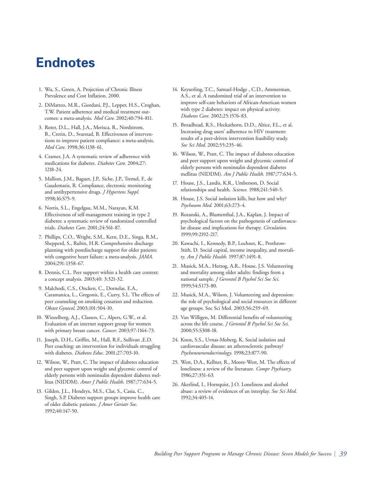## **Endnotes**

- 1. Wu, S., Green, A. Projection of Chronic Illness Prevalence and Cost Inflation. 2000.
- 2. DiMatteo, M.R., Giordani, P.J., Lepper, H.S., Croghan, T.W. Patient adherence and medical treatment outcomes: a meta-analysis. *Med Care*. 2002;40:794-811.
- 3. Roter, D.L., Hall, J.A., Merisca, R., Nordstrom, B., Cretin, D., Svarstad, B. Effectiveness of interventions to improve patient compliance: a meta-analysis. *Med Care*. 1998;36:1138-61.
- 4. Cramer, J.A. A systematic review of adherence with medications for diabetes. *Diabetes Care*. 2004;27: 1218-24.
- 5. Mallion, J.M., Baguet, J.P., Siche, J.P., Tremel, F., de Gaudemaris, R. Compliance, electronic monitoring and antihypertensive drugs. *J Hypertens Suppl.* 1998;16:S75-9.
- 6. Norris, S.L., Engelgau, M.M., Narayan, K.M. Effectiveness of self-management training in type 2 diabetes: a systematic review of randomized controlled trials. *Diabetes Care*. 2001;24:561-87.
- 7. Phillips, C.O., Wright, S.M., Kern, D.E., Singa, R.M., Shepperd, S., Rubin, H.R. Comprehensive discharge planning with postdischarge support for older patients with congestive heart failure: a meta-analysis. *JAMA*. 2004;291:1358-67.
- 8. Dennis, C.L. Peer support within a health care context: a concept analysis. 2003;40: 3:321-32.
- 9. Malchodi, C.S., Oncken, C., Dornelas, E.A., Caramanica, L., Gregonis, E., Curry, S.L. The effects of peer counseling on smoking cessation and reduction. *Obstet Gynecol*. 2003;101:504-10.
- 10. Winzelberg, A.J., Classen, C., Alpers, G.W., et al. Evaluation of an internet support group for women with primary breast cancer. *Cancer*. 2003;97:1164-73.
- 11. Joseph, D.H., Griffin, M., Hall, R.F., Sullivan ,E.D. Peer coaching: an intervention for individuals struggling with diabetes. *Diabetes Educ*. 2001;27:703-10.
- 12. Wilson, W., Pratt, C. The impact of diabetes education and peer support upon weight and glycemic control of elderly persons with noninsulin dependent diabetes mellitus (NIDDM). *Amer J Public Health*. 1987;77:634-5.
- 13. Gilden, J.L., Hendryx, M.S., Clar, S., Casia, C., Singh, S.P. Diabetes support groups improve health care of older diabetic patients. *J Amer Geriatr Soc*. 1992;40:147-50.
- 14. Keyserling, T.C., Samuel-Hodge , C.D., Ammerman, A.S., et al. A randomized trial of an intervention to improve self-care behaviors of African-American women with type 2 diabetes: impact on physical activity. *Diabetes Care*. 2002;25:1576-83.
- 15. Broadhead, R.S., Heckathorn, D.D., Altice, F.L., et al. Increasing drug users' adherence to HIV treatment: results of a peer-driven intervention feasibility study. *Soc Sci Med*. 2002;55:235-46.
- 16. Wilson, W., Pratt, C. The impact of diabetes education and peer support upon weight and glycemic control of elderly persons with noninsulin dependent diabetes mellitus (NIDDM). *Am J Public Health*. 1987;77:634-5.
- 17. House, J.S., Landis, K.R., Umberson, D. Social relationships and health. *Science*. 1988;241:540-5.
- 18. House, J.S. Social isolation kills, but how and why? *Psychosom Med*. 2001;63:273-4.
- 19. Rozanski, A., Blumenthal, J.A., Kaplan, J. Impact of psychological factors on the pathogenesis of cardiovascular disease and implications for therapy. *Circulation*. 1999;99:2192-217.
- 20. Kawachi, I., Kennedy, B.P., Lochner, K., Prothrow-Stith, D. Social capital, income inequality, and mortality. *Am J Public Health*. 1997;87:1491-8.
- 21. Musick, M.A., Herzog, A.R., House, J.S. Volunteering and mortality among older adults: findings from a national sample. *J Gerontol B Psychol Sci Soc Sci*. 1999;54:S173-80.
- 22. Musick, M.A., Wilson, J. Volunteering and depression: the role of psychological and social resources in different age groups. Soc Sci Med. 2003;56:259-69.
- 23. Van Willigen, M. Differential benefits of volunteering across the life course. *J Gerontol B Psychol Sci Soc Sci*. 2000;55:S308-18.
- 24. Knox, S.S., Uvnas-Moberg, K. Social isolation and cardiovascular disease: an atherosclerotic pathway? *Psychoneuroendocrinology*. 1998;23:877-90.
- 25. West, D.A., Kellner, R., Moore-West, M. The effects of loneliness: a review of the literature. *Compr Psychiatry*. 1986;27:351-63.
- 26. Akerlind, I., Hornquist, J.O. Loneliness and alcohol abuse: a review of evidences of an interplay. *Soc Sci Med*. 1992;34:405-14.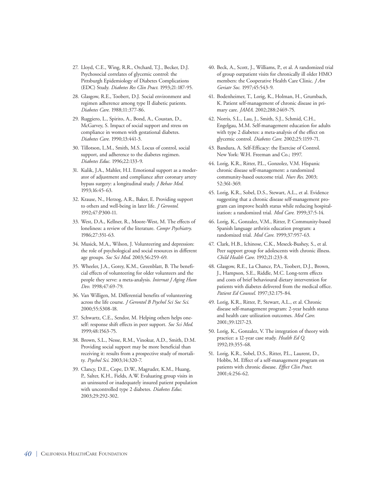- 27. Lloyd, C.E., Wing, R.R., Orchard, T.J., Becker, D.J. Psychosocial correlates of glycemic control: the Pittsburgh Epidemiology of Diabetes Complications (EDC) Study. *Diabetes Res Clin Pract*. 1993;21:187-95.
- 28. Glasgow, R.E., Toobert, D.J. Social environment and regimen adherence among type II diabetic patients. *Diabetes Care*. 1988;11:377-86.
- 29. Ruggiero, L., Spirito, A., Bond, A., Coustan, D., McGarvey, S. Impact of social support and stress on compliance in women with gestational diabetes. *Diabetes Care*. 1990;13:441-3.
- 30. Tillotson, L.M., Smith, M.S. Locus of control, social support, and adherence to the diabetes regimen. *Diabetes Educ*. 1996;22:133-9.
- 31. Kulik, J.A., Mahler, H.I. Emotional support as a moderator of adjustment and compliance after coronary artery bypass surgery: a longitudinal study. *J Behav Med*. 1993;16:45-63.
- 32. Krause, N., Herzog, A.R., Baker, E. Providing support to others and well-being in later life. *J Gerontol*. 1992;47:P300-11.
- 33. West, D.A., Kellner, R., Moore-West, M. The effects of loneliness: a review of the literature. *Compr Psychiatry*. 1986;27:351-63.
- 34. Musick, M.A., Wilson, J. Volunteering and depression: the role of psychological and social resources in different age groups. *Soc Sci Med*. 2003;56:259-69.
- 35. Wheeler, J.A., Gorey, K.M., Greenblatt, B. The beneficial effects of volunteering for older volunteers and the people they serve: a meta-analysis. *Internat J Aging Hum Dev*. 1998;47:69-79.
- 36. Van Willigen, M. Differential benefits of volunteering across the life course. *J Gerontol B Psychol Sci Soc Sci*. 2000;55:S308-18.
- 37. Schwartz, C.E., Sendor, M. Helping others helps oneself: response shift effects in peer support. *Soc Sci Med*. 1999;48:1563-75.
- 38. Brown, S.L., Nesse, R.M., Vinokur, A.D., Smith, D.M. Providing social support may be more beneficial than receiving it: results from a prospective study of mortality. *Psychol Sci*. 2003;14:320-7.
- 39. Clancy, D.E., Cope, D.W., Magruder, K.M., Huang, P., Salter, K.H., Fields, A.W. Evaluating group visits in an uninsured or inadequately insured patient population with uncontrolled type 2 diabetes. *Diabetes Educ*. 2003;29:292-302.
- 40. Beck, A., Scott, J., Williams, P., et al. A randomized trial of group outpatient visits for chronically ill older HMO members: the Cooperative Health Care Clinic. *J Am Geriatr Soc*. 1997;45:543-9.
- 41. Bodenheimer, T., Lorig, K., Holman, H., Grumbach, K. Patient self-management of chronic disease in primary care. *JAMA*. 2002;288:2469-75.
- 42. Norris, S.L., Lau, J., Smith, S.J., Schmid, C.H., Engelgau, M.M. Self-management education for adults with type 2 diabetes: a meta-analysis of the effect on glycemic control. *Diabetes Care*. 2002;25:1159-71.
- 43. Bandura, A. Self-Efficacy: the Exercise of Control. New York: W.H. Freeman and Co.; 1997.
- 44. Lorig, K.R., Ritter, P.L., Gonzolez, V.M. Hispanic chronic disease self-management: a randomized community-based outcome trial. *Nurs Res*. 2003; 52:361-369.
- 45. Lorig, K.R., Sobel, D.S., Stewart, A.L., et al. Evidence suggesting that a chronic disease self-management program can improve health status while reducing hospitalization: a randomized trial. *Med Care*. 1999;37:5-14.
- 46. Lorig, K., Gonzalez, V.M., Ritter, P. Community-based Spanish language arthritis education program: a randomized trial. *Med Care*. 1999;37:957-63.
- 47. Clark, H.B., Ichinose, C.K., Meseck-Bushey, S., et al. Peer support group for adolescents with chronic illness. *Child Health Care*. 1992;21:233-8.
- 48. Glasgow, R.E., La Chance, P.A., Toobert, D.J., Brown, J., Hampson, S.E., Riddle, M.C. Long-term effects and costs of brief behavioural dietary intervention for patients with diabetes delivered from the medical office. *Patient Ed Counsel*. 1997;32:175-84.
- 49. Lorig, K.R., Ritter, P., Stewart, A.L., et al. Chronic disease self-management program: 2-year health status and health care utilization outcomes. *Med Care*. 2001;39:1217-23.
- 50. Lorig, K., Gonzalez, V. The integration of theory with practice: a 12-year case study. *Health Ed Q*. 1992;19:355-68.
- 51. Lorig, K.R., Sobel, D.S., Ritter, P.L., Laurent, D., Hobbs, M. Effect of a self-management program on patients with chronic disease. *Effect Clin Pract*. 2001;4:256-62.